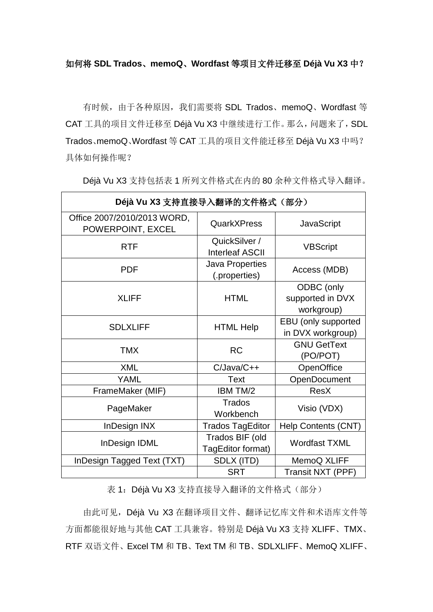## 如何将 **SDL Trados**、**memoQ**、**Wordfast** 等项目文件迁移至 **Déjà Vu X3** 中?

有时候,由于各种原因,我们需要将 SDL Trados、memoQ、Wordfast 等 CAT 工具的项目文件迁移至 Déjà Vu X3 中继续进行工作。那么,问题来了,SDL Trados、memoQ、Wordfast 等 CAT 工具的项目文件能迁移至 Déjà Vu X3 中吗? 具体如何操作呢?

| Déjà Vu X3 支持直接导入翻译的文件格式 (部分)                    |                                         |                                              |  |
|--------------------------------------------------|-----------------------------------------|----------------------------------------------|--|
| Office 2007/2010/2013 WORD,<br>POWERPOINT, EXCEL | QuarkXPress                             | <b>JavaScript</b>                            |  |
| <b>RTF</b>                                       | QuickSilver /<br><b>Interleaf ASCII</b> | <b>VBScript</b>                              |  |
| <b>PDF</b>                                       | <b>Java Properties</b><br>(.properties) | Access (MDB)                                 |  |
| <b>XLIFF</b>                                     | <b>HTML</b>                             | ODBC (only<br>supported in DVX<br>workgroup) |  |
| <b>SDLXLIFF</b>                                  | <b>HTML Help</b>                        | EBU (only supported<br>in DVX workgroup)     |  |
| <b>TMX</b>                                       | <b>RC</b>                               | <b>GNU GetText</b><br>(PO/POT)               |  |
| <b>XML</b>                                       | C/Java/C++                              | OpenOffice                                   |  |
| <b>YAML</b>                                      | <b>Text</b>                             | OpenDocument                                 |  |
| FrameMaker (MIF)                                 | IBM TM/2                                | <b>ResX</b>                                  |  |
| PageMaker                                        | Trados<br>Workbench                     | Visio (VDX)                                  |  |
| <b>InDesign INX</b>                              | <b>Trados TagEditor</b>                 | Help Contents (CNT)                          |  |
| InDesign IDML                                    | Trados BIF (old<br>TagEditor format)    | <b>Wordfast TXML</b>                         |  |
| InDesign Tagged Text (TXT)                       | SDLX (ITD)                              | MemoQ XLIFF                                  |  |
|                                                  | <b>SRT</b>                              | Transit NXT (PPF)                            |  |

Déjà Vu X3 支持包括表 1 所列文件格式在内的 80 余种文件格式导入翻译。

表 1: Déjà Vu X3 支持直接导入翻译的文件格式(部分)

由此可见,Déjà Vu X3 在翻译项目文件、翻译记忆库文件和术语库文件等 方面都能很好地与其他 CAT 工具兼容。特别是 Déjà Vu X3 支持 XLIFF、TMX、 RTF 双语文件、Excel TM 和 TB、Text TM 和 TB、SDLXLIFF、MemoQ XLIFF、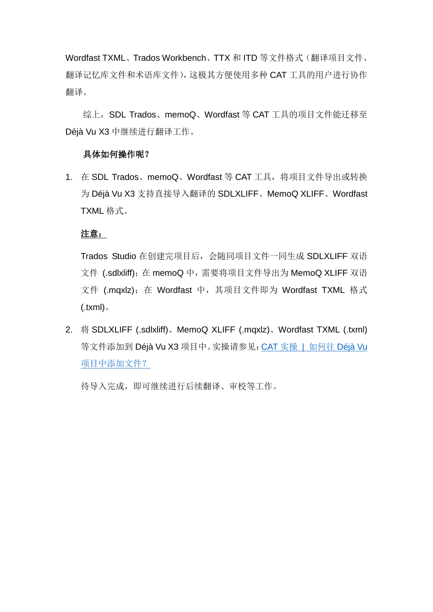Wordfast TXML、Trados Workbench、TTX 和 ITD 等文件格式(翻译项目文件、 翻译记忆库文件和术语库文件),这极其方便使用多种 CAT 工具的用户进行协作 翻译。

综上, SDL Trados、memoQ、Wordfast 等 CAT 工具的项目文件能迁移至 Déjà Vu X3 中继续进行翻译工作。

## 具体如何操作呢?

1. 在 SDL Trados、memoQ、Wordfast 等 CAT 工具, 将项目文件导出或转换 为 Déjà Vu X3 支持直接导入翻译的 SDLXLIFF、MemoQ XLIFF、Wordfast TXML 格式。

## 注意:

Trados Studio 在创建完项目后,会随同项目文件一同生成 SDLXLIFF 双语 文件 (.sdlxliff); 在 memoQ 中, 需要将项目文件导出为 MemoQ XLIFF 双语 文件 (.mqxlz); 在 Wordfast 中, 其项目文件即为 Wordfast TXML 格式 (.txml)。

2. 将 SDLXLIFF (.sdlxliff)、MemoQ XLIFF (.mqxlz)、Wordfast TXML (.txml) 等文件添加到 Déjà Vu X3 项目中。实操请参见:CAT 实操 | 如何往 [Déjà Vu](https://mp.weixin.qq.com/s/r4pAiFPelpCzov48Lvs2Og) [项目中添加文件?](https://mp.weixin.qq.com/s/r4pAiFPelpCzov48Lvs2Og)

待导入完成,即可继续进行后续翻译、审校等工作。